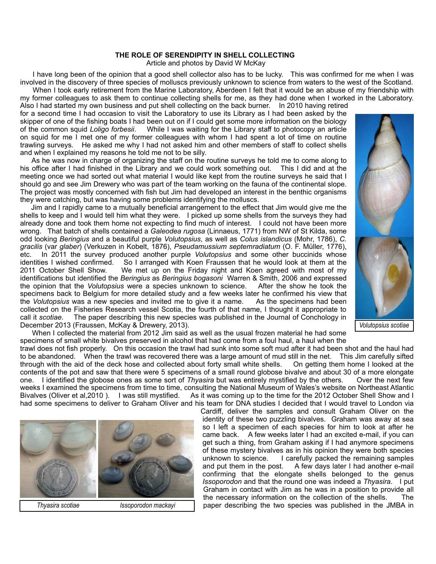## **THE ROLE OF SERENDIPITY IN SHELL COLLECTING**

Article and photos by David W McKay

 I have long been of the opinion that a good shell collector also has to be lucky. This was confirmed for me when I was involved in the discovery of three species of molluscs previously unknown to science from waters to the west of the Scotland. When I took early retirement from the Marine Laboratory, Aberdeen I felt that it would be an abuse of my friendship with

my former colleagues to ask them to continue collecting shells for me, as they had done when I worked in the Laboratory. Also I had started my own business and put shell collecting on the back burner. In 2010 having retired for a second time I had occasion to visit the Laboratory to use its Library as I had been asked by the skipper of one of the fishing boats I had been out on if I could get some more information on the biology<br>of the common squid Loligo forbesii. While I was waiting for the Library staff to photocopy an article While I was waiting for the Library staff to photocopy an article on squid for me I met one of my former colleagues with whom I had spent a lot of time on routine trawling surveys. He asked me why I had not asked him and other members of staff to collect shells and when I explained my reasons he told me not to be silly.

 As he was now in charge of organizing the staff on the routine surveys he told me to come along to his office after I had finished in the Library and we could work something out. This I did and at the meeting once we had sorted out what material I would like kept from the routine surveys he said that I should go and see Jim Drewery who was part of the team working on the fauna of the continental slope. The project was mostly concerned with fish but Jim had developed an interest in the benthic organisms they were catching, but was having some problems identifying the molluscs.

 Jim and I rapidly came to a mutually beneficial arrangement to the effect that Jim would give me the shells to keep and I would tell him what they were. I picked up some shells from the surveys they had already done and took them home not expecting to find much of interest. I could not have been more wrong. That batch of shells contained a *Galeodea rugosa* (Linnaeus, 1771) from NW of St Kilda, some odd looking *Beringius* and a beautiful purple *Volutopsius*, as well as *Colus islandicus* (Mohr, 1786), *C. gracilis* (var *glaber*) (Verkuzen in Kobelt, 1876), *Pseudamussium septemradiatum* (O. F. Müller, 1776), etc. In 2011 the survey produced another purple *Volutopsius* and some other buccinids whose identities I wished confirmed. So I arranged with Koen Fraussen that he would look at them at the 2011 October Shell Show. We met up on the Friday night and Koen agreed with most of my identifications but identified the *Beringius* as *Beringius bogasoni* Warren & Smith, 2006 and expressed the opinion that the *Volutopsius* were a species unknown to science. After the show he took the specimens back to Belgium for more detailed study and a few weeks later he confirmed his view that the *Volutopsius* was a new species and invited me to give it a name. As the specimens had been the *Volutopsius* was a new species and invited me to give it a name. collected on the Fisheries Research vessel Scotia, the fourth of that name, I thought it appropriate to call it *scotiae*. The paper describing this new species was published in the Journal of Conchology in December 2013 (Fraussen, McKay & Drewery, 2013).



 When I collected the material from 2012 Jim said as well as the usual frozen material he had some specimens of small white bivalves preserved in alcohol that had come from a foul haul, a haul when the

trawl does not fish properly. On this occasion the trawl had sunk into some soft mud after it had been shot and the haul had to be abandoned. When the trawl was recovered there was a large amount of mud still in the net. This Jim carefully sifted<br>through with the aid of the deck hose and collected about forty small white shells. On getting them through with the aid of the deck hose and collected about forty small white shells. contents of the pot and saw that there were 5 specimens of a small round globose bivalve and about 30 of a more elongate one. I identified the globose ones as some sort of *Thyasira* but was entirely mystified by the others. Over the next few weeks I examined the specimens from time to time, consulting the National Museum of Wales's website on Northeast Atlantic<br>Bivalves (Oliver et al, 2010). I was still mystified. As it was coming up to the time for the 2012 O As it was coming up to the time for the 2012 October Shell Show and I had some specimens to deliver to Graham Oliver and his team for DNA studies I decided that I would travel to London via



Cardiff, deliver the samples and consult Graham Oliver on the identity of these two puzzling bivalves. Graham was away at sea so I left a specimen of each species for him to look at after he came back. A few weeks later I had an excited e-mail, if you can get such a thing, from Graham asking if I had anymore specimens of these mystery bivalves as in his opinion they were both species unknown to science. I carefully packed the remaining samples and put them in the post. A few days later I had another e-mail A few days later I had another e-mail confirming that the elongate shells belonged to the genus *Issoporodon* and that the round one was indeed a *Thyasira*. I put Graham in contact with Jim as he was in a position to provide all the necessary information on the collection of the shells. The paper describing the two species was published in the JMBA in